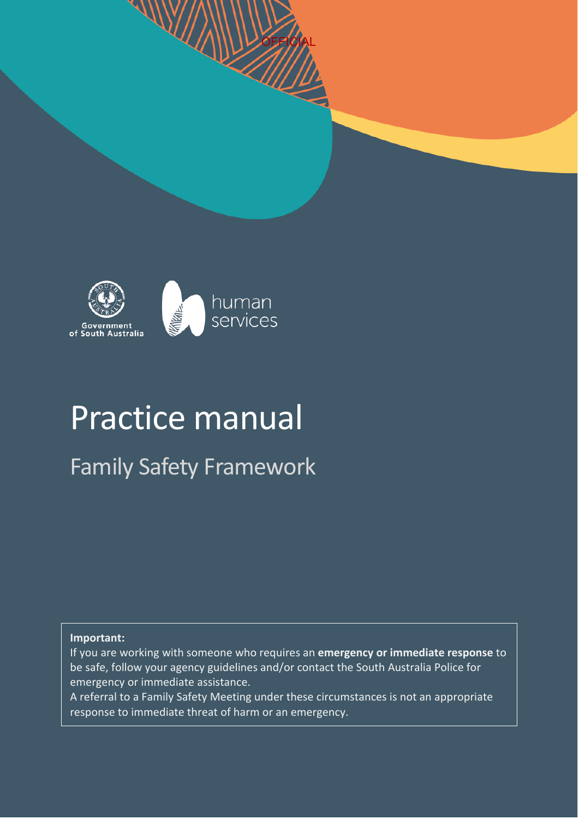

 $\mathcal{W}$ 

# Practice manual

Family Safety Framework

#### **Important:**

If you are working with someone who requires an **emergency or immediate response** to be safe, follow your agency guidelines and/or contact the South Australia Police for emergency or immediate assistance.

OFFICIAL

A referral to a Family Safety Meeting under these circumstances is not an appropriate response to immediate threat of harm or an emergency.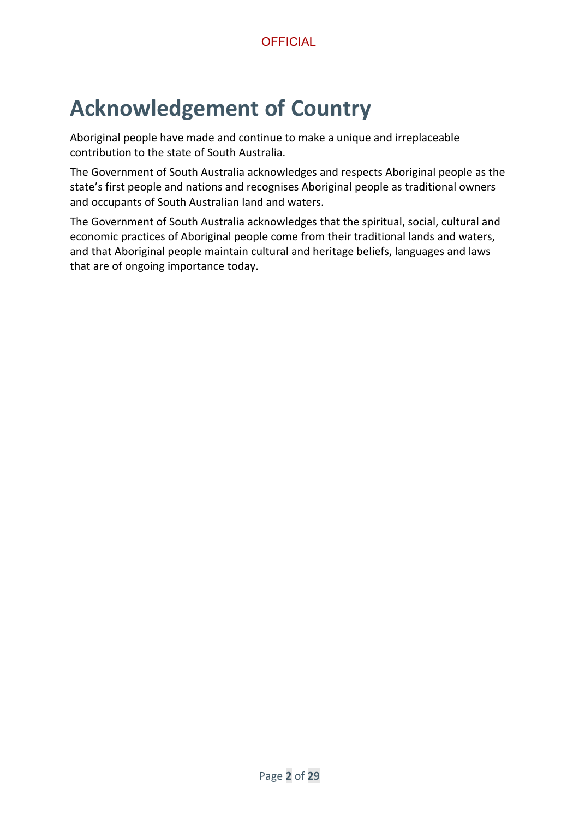## <span id="page-1-0"></span>**Acknowledgement of Country**

Aboriginal people have made and continue to make a unique and irreplaceable contribution to the state of South Australia.

The Government of South Australia acknowledges and respects Aboriginal people as the state's first people and nations and recognises Aboriginal people as traditional owners and occupants of South Australian land and waters.

The Government of South Australia acknowledges that the spiritual, social, cultural and economic practices of Aboriginal people come from their traditional lands and waters, and that Aboriginal people maintain cultural and heritage beliefs, languages and laws that are of ongoing importance today.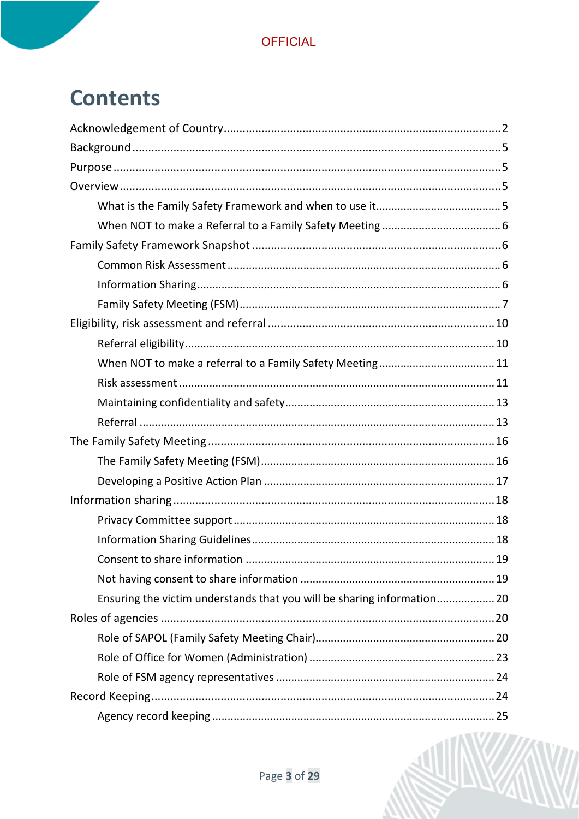## **Contents**

| Ensuring the victim understands that you will be sharing information 20 |  |
|-------------------------------------------------------------------------|--|
|                                                                         |  |
|                                                                         |  |
|                                                                         |  |
|                                                                         |  |
|                                                                         |  |
|                                                                         |  |

ANY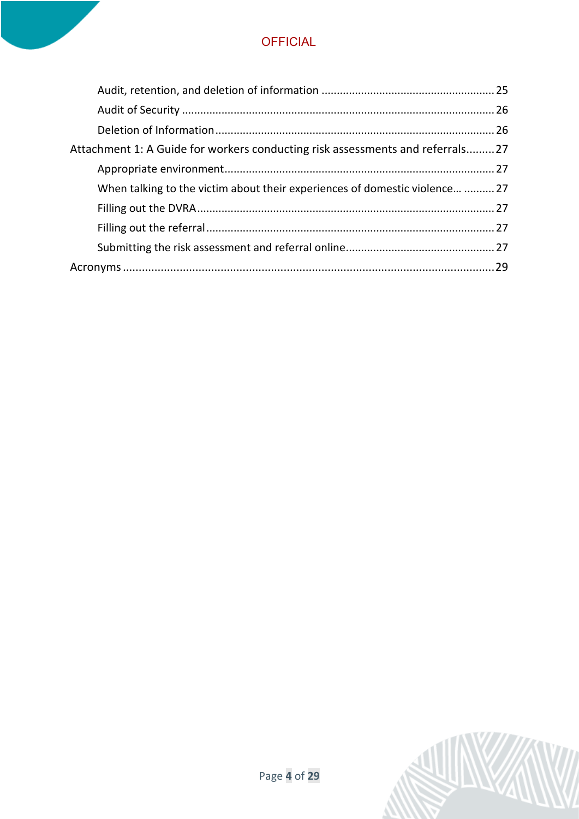| Attachment 1: A Guide for workers conducting risk assessments and referrals27 |
|-------------------------------------------------------------------------------|
|                                                                               |
| When talking to the victim about their experiences of domestic violence  27   |
|                                                                               |
|                                                                               |
|                                                                               |
|                                                                               |
|                                                                               |

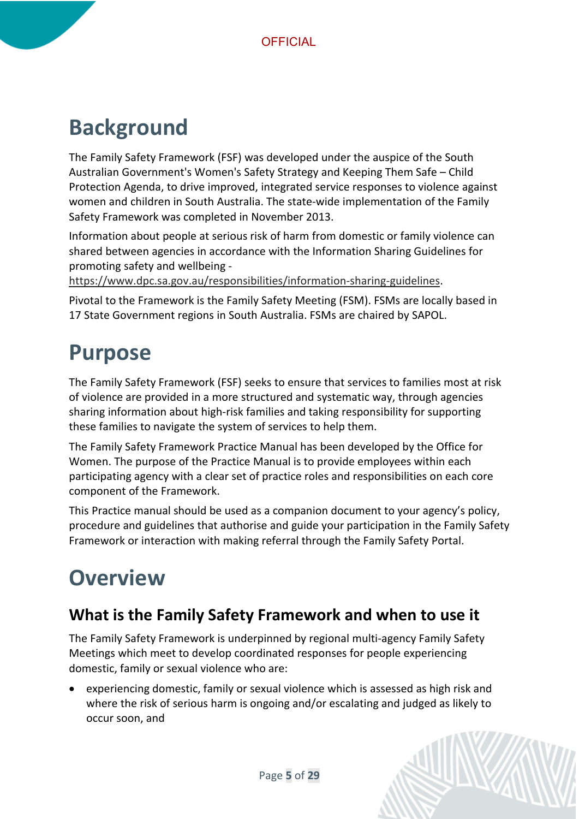## <span id="page-4-0"></span>**Background**

The Family Safety Framework (FSF) was developed under the auspice of the South Australian Government's Women's Safety Strategy and Keeping Them Safe – Child Protection Agenda, to drive improved, integrated service responses to violence against women and children in South Australia. The state-wide implementation of the Family Safety Framework was completed in November 2013.

Information about people at serious risk of harm from domestic or family violence can shared between agencies in accordance with the Information Sharing Guidelines for promoting safety and wellbeing -

[https://www.dpc.sa.gov.au/responsibilities/information-sharing-guidelines.](https://www.dpc.sa.gov.au/responsibilities/information-sharing-guidelines)

Pivotal to the Framework is the Family Safety Meeting (FSM). FSMs are locally based in 17 State Government regions in South Australia. FSMs are chaired by SAPOL.

## <span id="page-4-1"></span>**Purpose**

The Family Safety Framework (FSF) seeks to ensure that services to families most at risk of violence are provided in a more structured and systematic way, through agencies sharing information about high-risk families and taking responsibility for supporting these families to navigate the system of services to help them.

The Family Safety Framework Practice Manual has been developed by the Office for Women. The purpose of the Practice Manual is to provide employees within each participating agency with a clear set of practice roles and responsibilities on each core component of the Framework.

This Practice manual should be used as a companion document to your agency's policy, procedure and guidelines that authorise and guide your participation in the Family Safety Framework or interaction with making referral through the Family Safety Portal.

## <span id="page-4-2"></span>**Overview**

## <span id="page-4-3"></span>**What is the Family Safety Framework and when to use it**

The Family Safety Framework is underpinned by regional multi-agency Family Safety Meetings which meet to develop coordinated responses for people experiencing domestic, family or sexual violence who are:

• experiencing domestic, family or sexual violence which is assessed as high risk and where the risk of serious harm is ongoing and/or escalating and judged as likely to occur soon, and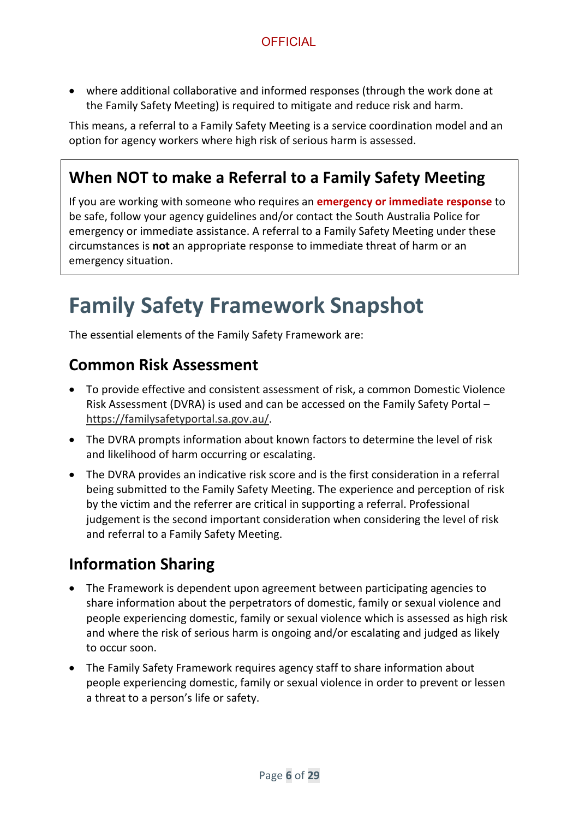• where additional collaborative and informed responses (through the work done at the Family Safety Meeting) is required to mitigate and reduce risk and harm.

This means, a referral to a Family Safety Meeting is a service coordination model and an option for agency workers where high risk of serious harm is assessed.

## <span id="page-5-0"></span>**When NOT to make a Referral to a Family Safety Meeting**

If you are working with someone who requires an **emergency or immediate response** to be safe, follow your agency guidelines and/or contact the South Australia Police for emergency or immediate assistance. A referral to a Family Safety Meeting under these circumstances is **not** an appropriate response to immediate threat of harm or an emergency situation.

## <span id="page-5-1"></span>**Family Safety Framework Snapshot**

The essential elements of the Family Safety Framework are:

#### <span id="page-5-2"></span>**Common Risk Assessment**

- To provide effective and consistent assessment of risk, a common Domestic Violence Risk Assessment (DVRA) is used and can be accessed on the Family Safety Portal – [https://familysafetyportal.sa.gov.au/.](https://familysafetyportal.sa.gov.au/)
- The DVRA prompts information about known factors to determine the level of risk and likelihood of harm occurring or escalating.
- The DVRA provides an indicative risk score and is the first consideration in a referral being submitted to the Family Safety Meeting. The experience and perception of risk by the victim and the referrer are critical in supporting a referral. Professional judgement is the second important consideration when considering the level of risk and referral to a Family Safety Meeting.

### <span id="page-5-3"></span>**Information Sharing**

- The Framework is dependent upon agreement between participating agencies to share information about the perpetrators of domestic, family or sexual violence and people experiencing domestic, family or sexual violence which is assessed as high risk and where the risk of serious harm is ongoing and/or escalating and judged as likely to occur soon.
- The Family Safety Framework requires agency staff to share information about people experiencing domestic, family or sexual violence in order to prevent or lessen a threat to a person's life or safety.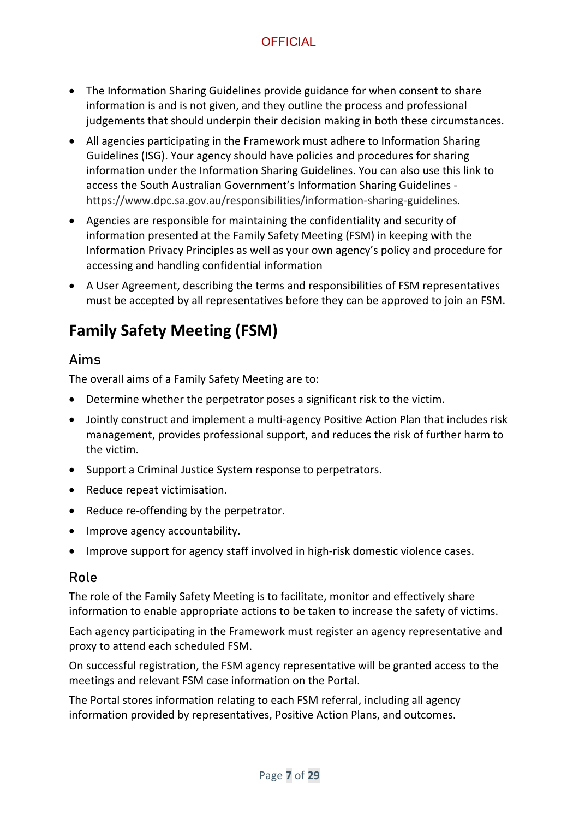- The Information Sharing Guidelines provide guidance for when consent to share information is and is not given, and they outline the process and professional judgements that should underpin their decision making in both these circumstances.
- All agencies participating in the Framework must adhere to Information Sharing Guidelines (ISG). Your agency should have policies and procedures for sharing information under the Information Sharing Guidelines. You can also use this link to access the South Australian Government's Information Sharing Guidelines [https://www.dpc.sa.gov.au/responsibilities/information-sharing-guidelines.](https://www.dpc.sa.gov.au/responsibilities/information-sharing-guidelines)
- Agencies are responsible for maintaining the confidentiality and security of information presented at the Family Safety Meeting (FSM) in keeping with the Information Privacy Principles as well as your own agency's policy and procedure for accessing and handling confidential information
- A User Agreement, describing the terms and responsibilities of FSM representatives must be accepted by all representatives before they can be approved to join an FSM.

## <span id="page-6-0"></span>**Family Safety Meeting (FSM)**

#### Aims

The overall aims of a Family Safety Meeting are to:

- Determine whether the perpetrator poses a significant risk to the victim.
- Jointly construct and implement a multi-agency Positive Action Plan that includes risk management, provides professional support, and reduces the risk of further harm to the victim.
- Support a Criminal Justice System response to perpetrators.
- Reduce repeat victimisation.
- Reduce re-offending by the perpetrator.
- Improve agency accountability.
- Improve support for agency staff involved in high-risk domestic violence cases.

#### Role

The role of the Family Safety Meeting is to facilitate, monitor and effectively share information to enable appropriate actions to be taken to increase the safety of victims.

Each agency participating in the Framework must register an agency representative and proxy to attend each scheduled FSM.

On successful registration, the FSM agency representative will be granted access to the meetings and relevant FSM case information on the Portal.

The Portal stores information relating to each FSM referral, including all agency information provided by representatives, Positive Action Plans, and outcomes.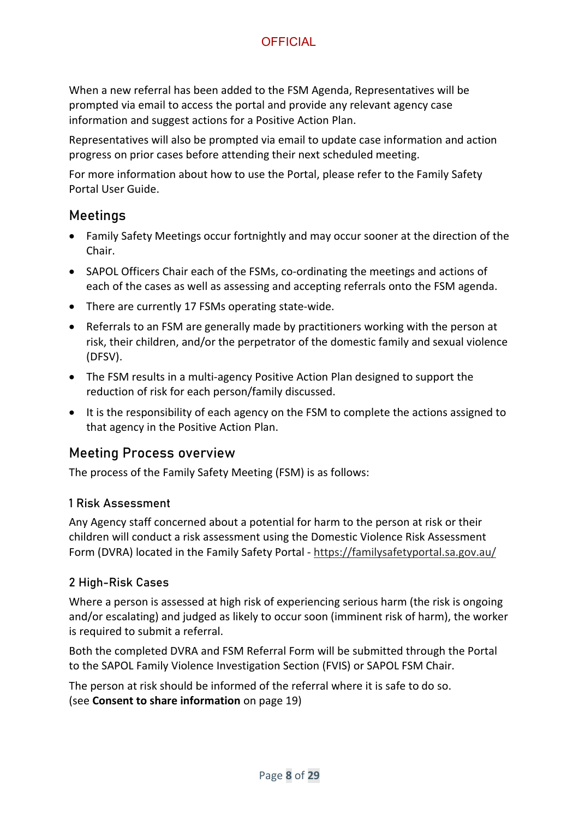When a new referral has been added to the FSM Agenda, Representatives will be prompted via email to access the portal and provide any relevant agency case information and suggest actions for a Positive Action Plan.

Representatives will also be prompted via email to update case information and action progress on prior cases before attending their next scheduled meeting.

For more information about how to use the Portal, please refer to the Family Safety Portal User Guide.

#### Meetings

- Family Safety Meetings occur fortnightly and may occur sooner at the direction of the Chair.
- SAPOL Officers Chair each of the FSMs, co-ordinating the meetings and actions of each of the cases as well as assessing and accepting referrals onto the FSM agenda.
- There are currently 17 FSMs operating state-wide.
- Referrals to an FSM are generally made by practitioners working with the person at risk, their children, and/or the perpetrator of the domestic family and sexual violence (DFSV).
- The FSM results in a multi-agency Positive Action Plan designed to support the reduction of risk for each person/family discussed.
- It is the responsibility of each agency on the FSM to complete the actions assigned to that agency in the Positive Action Plan.

#### Meeting Process overview

The process of the Family Safety Meeting (FSM) is as follows:

#### 1 Risk Assessment

Any Agency staff concerned about a potential for harm to the person at risk or their children will conduct a risk assessment using the Domestic Violence Risk Assessment Form (DVRA) located in the Family Safety Portal - <https://familysafetyportal.sa.gov.au/>

#### 2 High-Risk Cases

Where a person is assessed at high risk of experiencing serious harm (the risk is ongoing and/or escalating) and judged as likely to occur soon (imminent risk of harm), the worker is required to submit a referral.

Both the completed DVRA and FSM Referral Form will be submitted through the Portal to the SAPOL Family Violence Investigation Section (FVIS) or SAPOL FSM Chair.

The person at risk should be informed of the referral where it is safe to do so. (see **[Consent to share information](#page-18-0)** on page [19\)](#page-18-0)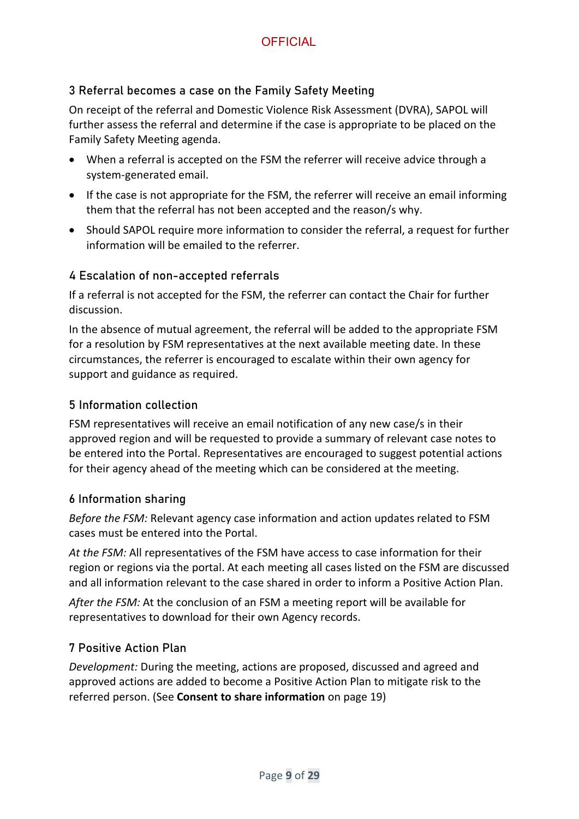#### 3 Referral becomes a case on the Family Safety Meeting

On receipt of the referral and Domestic Violence Risk Assessment (DVRA), SAPOL will further assess the referral and determine if the case is appropriate to be placed on the Family Safety Meeting agenda.

- When a referral is accepted on the FSM the referrer will receive advice through a system-generated email.
- If the case is not appropriate for the FSM, the referrer will receive an email informing them that the referral has not been accepted and the reason/s why.
- Should SAPOL require more information to consider the referral, a request for further information will be emailed to the referrer.

#### 4 Escalation of non-accepted referrals

If a referral is not accepted for the FSM, the referrer can contact the Chair for further discussion.

In the absence of mutual agreement, the referral will be added to the appropriate FSM for a resolution by FSM representatives at the next available meeting date. In these circumstances, the referrer is encouraged to escalate within their own agency for support and guidance as required.

#### 5 Information collection

FSM representatives will receive an email notification of any new case/s in their approved region and will be requested to provide a summary of relevant case notes to be entered into the Portal. Representatives are encouraged to suggest potential actions for their agency ahead of the meeting which can be considered at the meeting.

#### 6 Information sharing

*Before the FSM:* Relevant agency case information and action updates related to FSM cases must be entered into the Portal.

*At the FSM:* All representatives of the FSM have access to case information for their region or regions via the portal. At each meeting all cases listed on the FSM are discussed and all information relevant to the case shared in order to inform a Positive Action Plan.

*After the FSM:* At the conclusion of an FSM a meeting report will be available for representatives to download for their own Agency records.

#### 7 Positive Action Plan

*Development:* During the meeting, actions are proposed, discussed and agreed and approved actions are added to become a Positive Action Plan to mitigate risk to the referred person. (See **[Consent to share information](#page-18-0)** on page [19\)](#page-18-0)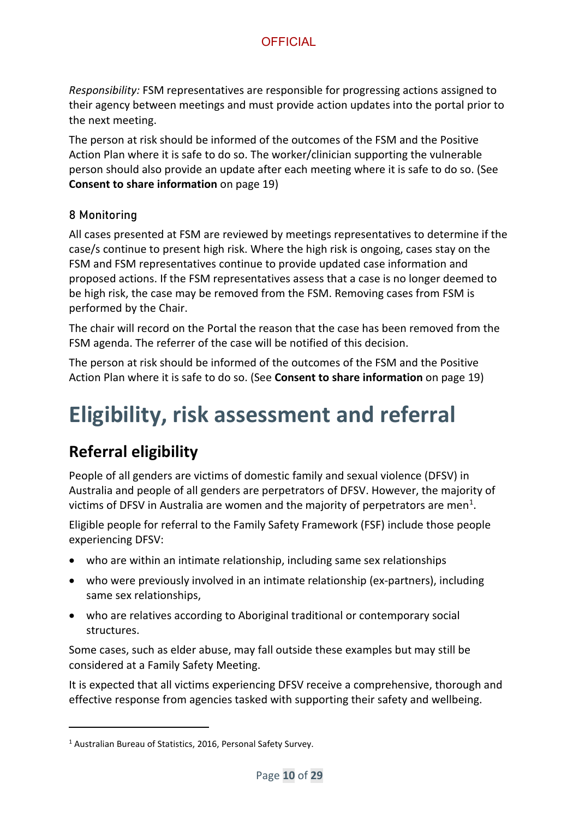*Responsibility:* FSM representatives are responsible for progressing actions assigned to their agency between meetings and must provide action updates into the portal prior to the next meeting.

The person at risk should be informed of the outcomes of the FSM and the Positive Action Plan where it is safe to do so. The worker/clinician supporting the vulnerable person should also provide an update after each meeting where it is safe to do so. (See **[Consent to share information](#page-18-0)** on page [19\)](#page-18-0)

#### 8 Monitoring

All cases presented at FSM are reviewed by meetings representatives to determine if the case/s continue to present high risk. Where the high risk is ongoing, cases stay on the FSM and FSM representatives continue to provide updated case information and proposed actions. If the FSM representatives assess that a case is no longer deemed to be high risk, the case may be removed from the FSM. Removing cases from FSM is performed by the Chair.

The chair will record on the Portal the reason that the case has been removed from the FSM agenda. The referrer of the case will be notified of this decision.

The person at risk should be informed of the outcomes of the FSM and the Positive Action Plan where it is safe to do so. (See **[Consent to share information](#page-18-0)** on page [19\)](#page-18-0)

## <span id="page-9-0"></span>**Eligibility, risk assessment and referral**

## <span id="page-9-1"></span>**Referral eligibility**

People of all genders are victims of domestic family and sexual violence (DFSV) in Australia and people of all genders are perpetrators of DFSV. However, the majority of victims of DFSV in Australia are women and the majority of perpetrators are men<sup>[1](#page-9-2)</sup>.

Eligible people for referral to the Family Safety Framework (FSF) include those people experiencing DFSV:

- who are within an intimate relationship, including same sex relationships
- who were previously involved in an intimate relationship (ex-partners), including same sex relationships,
- who are relatives according to Aboriginal traditional or contemporary social structures.

Some cases, such as elder abuse, may fall outside these examples but may still be considered at a Family Safety Meeting.

It is expected that all victims experiencing DFSV receive a comprehensive, thorough and effective response from agencies tasked with supporting their safety and wellbeing.

<span id="page-9-2"></span><sup>&</sup>lt;sup>1</sup> Australian Bureau of Statistics, 2016, Personal Safety Survey.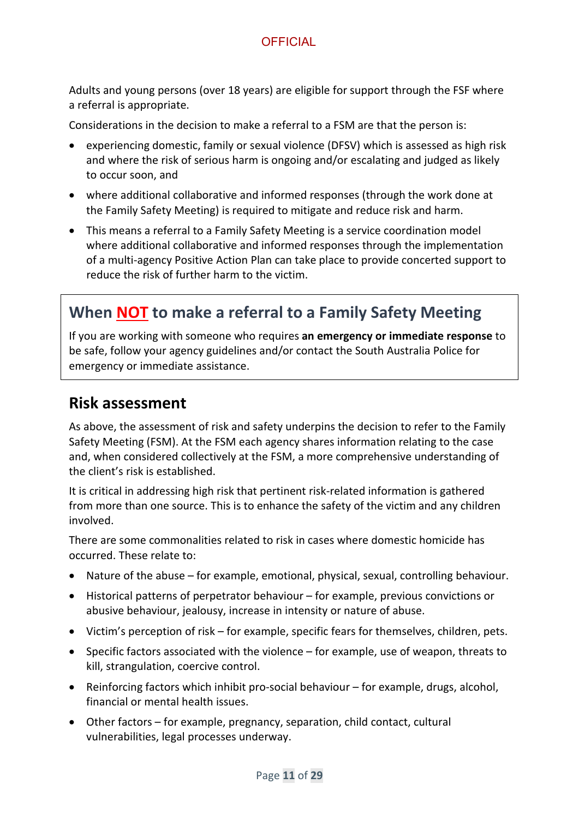Adults and young persons (over 18 years) are eligible for support through the FSF where a referral is appropriate.

Considerations in the decision to make a referral to a FSM are that the person is:

- experiencing domestic, family or sexual violence (DFSV) which is assessed as high risk and where the risk of serious harm is ongoing and/or escalating and judged as likely to occur soon, and
- where additional collaborative and informed responses (through the work done at the Family Safety Meeting) is required to mitigate and reduce risk and harm.
- This means a referral to a Family Safety Meeting is a service coordination model where additional collaborative and informed responses through the implementation of a multi-agency Positive Action Plan can take place to provide concerted support to reduce the risk of further harm to the victim.

## <span id="page-10-0"></span>**When NOT to make a referral to a Family Safety Meeting**

If you are working with someone who requires **an emergency or immediate response** to be safe, follow your agency guidelines and/or contact the South Australia Police for emergency or immediate assistance.

#### <span id="page-10-1"></span>**Risk assessment**

As above, the assessment of risk and safety underpins the decision to refer to the Family Safety Meeting (FSM). At the FSM each agency shares information relating to the case and, when considered collectively at the FSM, a more comprehensive understanding of the client's risk is established.

It is critical in addressing high risk that pertinent risk-related information is gathered from more than one source. This is to enhance the safety of the victim and any children involved.

There are some commonalities related to risk in cases where domestic homicide has occurred. These relate to:

- Nature of the abuse for example, emotional, physical, sexual, controlling behaviour.
- Historical patterns of perpetrator behaviour for example, previous convictions or abusive behaviour, jealousy, increase in intensity or nature of abuse.
- Victim's perception of risk for example, specific fears for themselves, children, pets.
- Specific factors associated with the violence for example, use of weapon, threats to kill, strangulation, coercive control.
- Reinforcing factors which inhibit pro-social behaviour for example, drugs, alcohol, financial or mental health issues.
- Other factors for example, pregnancy, separation, child contact, cultural vulnerabilities, legal processes underway.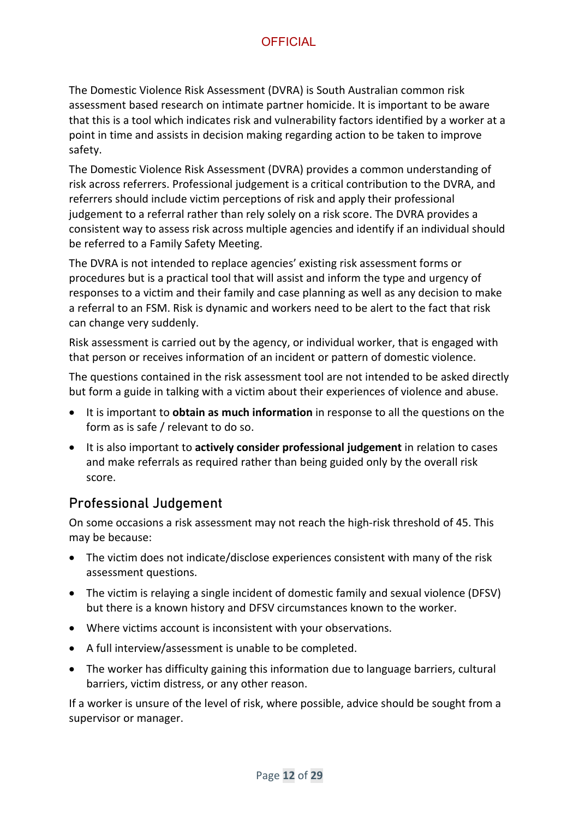The Domestic Violence Risk Assessment (DVRA) is South Australian common risk assessment based research on intimate partner homicide. It is important to be aware that this is a tool which indicates risk and vulnerability factors identified by a worker at a point in time and assists in decision making regarding action to be taken to improve safety.

The Domestic Violence Risk Assessment (DVRA) provides a common understanding of risk across referrers. Professional judgement is a critical contribution to the DVRA, and referrers should include victim perceptions of risk and apply their professional judgement to a referral rather than rely solely on a risk score. The DVRA provides a consistent way to assess risk across multiple agencies and identify if an individual should be referred to a Family Safety Meeting.

The DVRA is not intended to replace agencies' existing risk assessment forms or procedures but is a practical tool that will assist and inform the type and urgency of responses to a victim and their family and case planning as well as any decision to make a referral to an FSM. Risk is dynamic and workers need to be alert to the fact that risk can change very suddenly.

Risk assessment is carried out by the agency, or individual worker, that is engaged with that person or receives information of an incident or pattern of domestic violence.

The questions contained in the risk assessment tool are not intended to be asked directly but form a guide in talking with a victim about their experiences of violence and abuse.

- It is important to **obtain as much information** in response to all the questions on the form as is safe / relevant to do so.
- It is also important to **actively consider professional judgement** in relation to cases and make referrals as required rather than being guided only by the overall risk score.

#### <span id="page-11-0"></span>Professional Judgement

On some occasions a risk assessment may not reach the high-risk threshold of 45. This may be because:

- The victim does not indicate/disclose experiences consistent with many of the risk assessment questions.
- The victim is relaying a single incident of domestic family and sexual violence (DFSV) but there is a known history and DFSV circumstances known to the worker.
- Where victims account is inconsistent with your observations.
- A full interview/assessment is unable to be completed.
- The worker has difficulty gaining this information due to language barriers, cultural barriers, victim distress, or any other reason.

If a worker is unsure of the level of risk, where possible, advice should be sought from a supervisor or manager.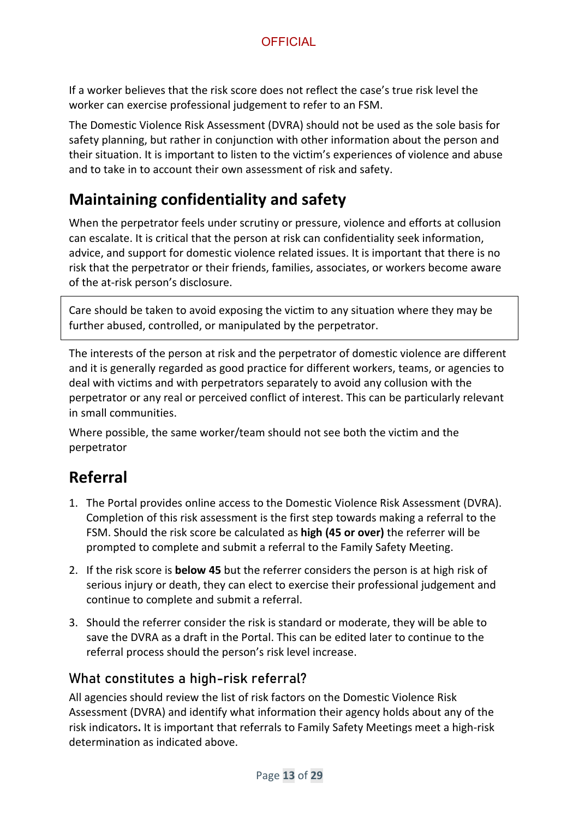If a worker believes that the risk score does not reflect the case's true risk level the worker can exercise professional judgement to refer to an FSM.

The Domestic Violence Risk Assessment (DVRA) should not be used as the sole basis for safety planning, but rather in conjunction with other information about the person and their situation. It is important to listen to the victim's experiences of violence and abuse and to take in to account their own assessment of risk and safety.

## <span id="page-12-0"></span>**Maintaining confidentiality and safety**

When the perpetrator feels under scrutiny or pressure, violence and efforts at collusion can escalate. It is critical that the person at risk can confidentiality seek information, advice, and support for domestic violence related issues. It is important that there is no risk that the perpetrator or their friends, families, associates, or workers become aware of the at-risk person's disclosure.

Care should be taken to avoid exposing the victim to any situation where they may be further abused, controlled, or manipulated by the perpetrator.

The interests of the person at risk and the perpetrator of domestic violence are different and it is generally regarded as good practice for different workers, teams, or agencies to deal with victims and with perpetrators separately to avoid any collusion with the perpetrator or any real or perceived conflict of interest. This can be particularly relevant in small communities.

Where possible, the same worker/team should not see both the victim and the perpetrator

## <span id="page-12-1"></span>**Referral**

- 1. The Portal provides online access to the Domestic Violence Risk Assessment (DVRA). Completion of this risk assessment is the first step towards making a referral to the FSM. Should the risk score be calculated as **high (45 or over)** the referrer will be prompted to complete and submit a referral to the Family Safety Meeting.
- 2. If the risk score is **below 45** but the referrer considers the person is at high risk of serious injury or death, they can elect to exercise their professional judgement and continue to complete and submit a referral.
- 3. Should the referrer consider the risk is standard or moderate, they will be able to save the DVRA as a draft in the Portal. This can be edited later to continue to the referral process should the person's risk level increase.

#### What constitutes a high-risk referral?

All agencies should review the list of risk factors on the Domestic Violence Risk Assessment (DVRA) and identify what information their agency holds about any of the risk indicators**.** It is important that referrals to Family Safety Meetings meet a high-risk determination as indicated above.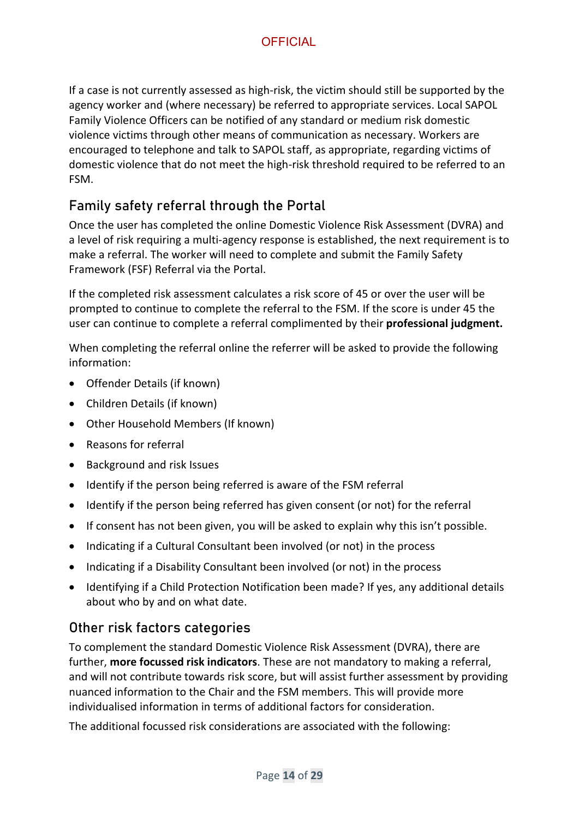If a case is not currently assessed as high-risk, the victim should still be supported by the agency worker and (where necessary) be referred to appropriate services. Local SAPOL Family Violence Officers can be notified of any standard or medium risk domestic violence victims through other means of communication as necessary. Workers are encouraged to telephone and talk to SAPOL staff, as appropriate, regarding victims of domestic violence that do not meet the high-risk threshold required to be referred to an FSM.

#### Family safety referral through the Portal

Once the user has completed the online Domestic Violence Risk Assessment (DVRA) and a level of risk requiring a multi-agency response is established, the next requirement is to make a referral. The worker will need to complete and submit the Family Safety Framework (FSF) Referral via the Portal.

If the completed risk assessment calculates a risk score of 45 or over the user will be prompted to continue to complete the referral to the FSM. If the score is under 45 the user can continue to complete a referral complimented by their **professional judgment.**

When completing the referral online the referrer will be asked to provide the following information:

- Offender Details (if known)
- Children Details (if known)
- Other Household Members (If known)
- Reasons for referral
- Background and risk Issues
- Identify if the person being referred is aware of the FSM referral
- Identify if the person being referred has given consent (or not) for the referral
- If consent has not been given, you will be asked to explain why this isn't possible.
- Indicating if a Cultural Consultant been involved (or not) in the process
- Indicating if a Disability Consultant been involved (or not) in the process
- Identifying if a Child Protection Notification been made? If yes, any additional details about who by and on what date.

#### Other risk factors categories

To complement the standard Domestic Violence Risk Assessment (DVRA), there are further, **more focussed risk indicators**. These are not mandatory to making a referral, and will not contribute towards risk score, but will assist further assessment by providing nuanced information to the Chair and the FSM members. This will provide more individualised information in terms of additional factors for consideration.

The additional focussed risk considerations are associated with the following: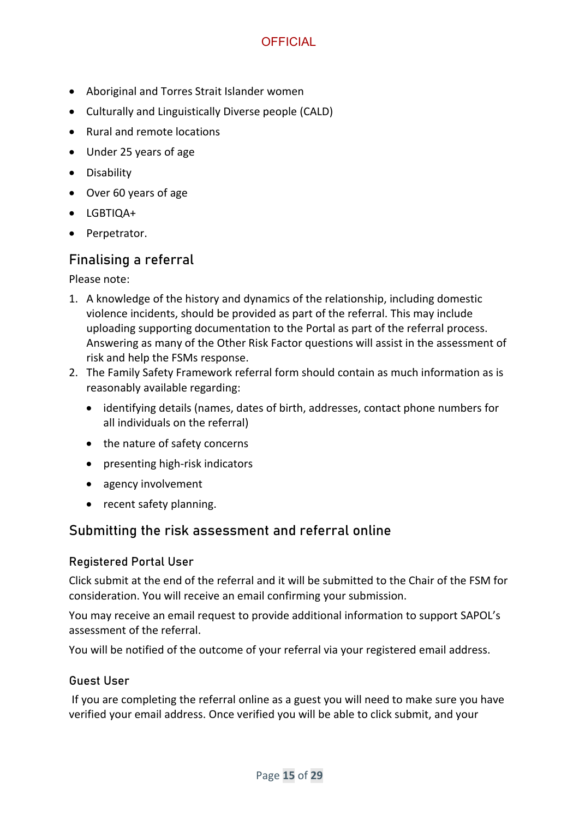- Aboriginal and Torres Strait Islander women
- Culturally and Linguistically Diverse people (CALD)
- Rural and remote locations
- Under 25 years of age
- Disability
- Over 60 years of age
- LGBTIQA+
- Perpetrator.

#### Finalising a referral

Please note:

- 1. A knowledge of the history and dynamics of the relationship, including domestic violence incidents, should be provided as part of the referral. This may include uploading supporting documentation to the Portal as part of the referral process. Answering as many of the Other Risk Factor questions will assist in the assessment of risk and help the FSMs response.
- 2. The Family Safety Framework referral form should contain as much information as is reasonably available regarding:
	- identifying details (names, dates of birth, addresses, contact phone numbers for all individuals on the referral)
	- the nature of safety concerns
	- presenting high-risk indicators
	- agency involvement
	- recent safety planning.

#### Submitting the risk assessment and referral online

#### Registered Portal User

Click submit at the end of the referral and it will be submitted to the Chair of the FSM for consideration. You will receive an email confirming your submission.

You may receive an email request to provide additional information to support SAPOL's assessment of the referral.

You will be notified of the outcome of your referral via your registered email address.

#### Guest User

If you are completing the referral online as a guest you will need to make sure you have verified your email address. Once verified you will be able to click submit, and your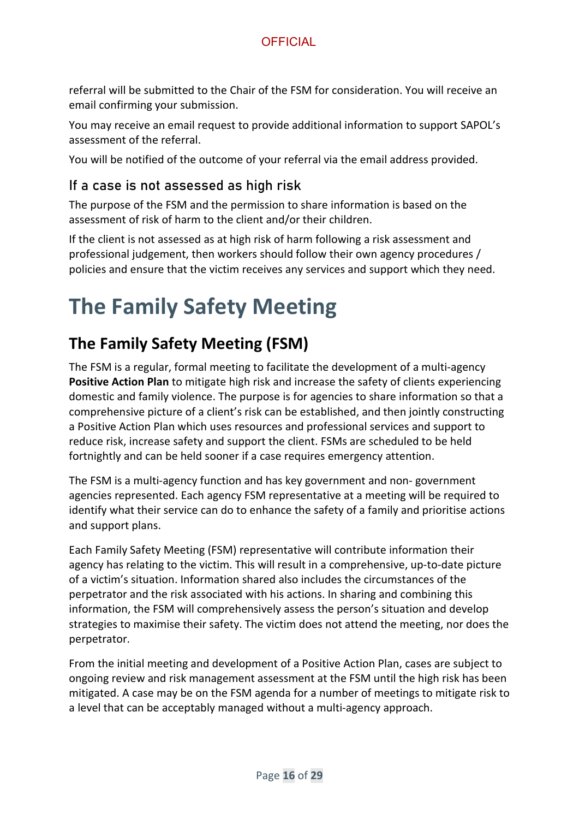referral will be submitted to the Chair of the FSM for consideration. You will receive an email confirming your submission.

You may receive an email request to provide additional information to support SAPOL's assessment of the referral.

You will be notified of the outcome of your referral via the email address provided.

#### If a case is not assessed as high risk

The purpose of the FSM and the permission to share information is based on the assessment of risk of harm to the client and/or their children.

If the client is not assessed as at high risk of harm following a risk assessment and professional judgement, then workers should follow their own agency procedures / policies and ensure that the victim receives any services and support which they need.

## <span id="page-15-0"></span>**The Family Safety Meeting**

## <span id="page-15-1"></span>**The Family Safety Meeting (FSM)**

The FSM is a regular, formal meeting to facilitate the development of a multi-agency **Positive Action Plan** to mitigate high risk and increase the safety of clients experiencing domestic and family violence. The purpose is for agencies to share information so that a comprehensive picture of a client's risk can be established, and then jointly constructing a Positive Action Plan which uses resources and professional services and support to reduce risk, increase safety and support the client. FSMs are scheduled to be held fortnightly and can be held sooner if a case requires emergency attention.

The FSM is a multi-agency function and has key government and non- government agencies represented. Each agency FSM representative at a meeting will be required to identify what their service can do to enhance the safety of a family and prioritise actions and support plans.

Each Family Safety Meeting (FSM) representative will contribute information their agency has relating to the victim. This will result in a comprehensive, up-to-date picture of a victim's situation. Information shared also includes the circumstances of the perpetrator and the risk associated with his actions. In sharing and combining this information, the FSM will comprehensively assess the person's situation and develop strategies to maximise their safety. The victim does not attend the meeting, nor does the perpetrator.

From the initial meeting and development of a Positive Action Plan, cases are subject to ongoing review and risk management assessment at the FSM until the high risk has been mitigated. A case may be on the FSM agenda for a number of meetings to mitigate risk to a level that can be acceptably managed without a multi-agency approach.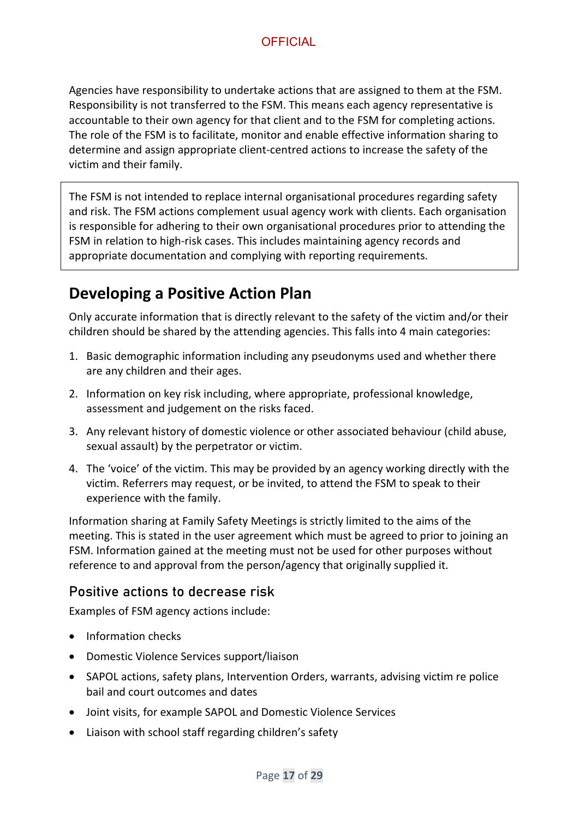Agencies have responsibility to undertake actions that are assigned to them at the FSM. Responsibility is not transferred to the FSM. This means each agency representative is accountable to their own agency for that client and to the FSM for completing actions. The role of the FSM is to facilitate, monitor and enable effective information sharing to determine and assign appropriate client-centred actions to increase the safety of the victim and their family.

The FSM is not intended to replace internal organisational procedures regarding safety and risk. The FSM actions complement usual agency work with clients. Each organisation is responsible for adhering to their own organisational procedures prior to attending the FSM in relation to high-risk cases. This includes maintaining agency records and appropriate documentation and complying with reporting requirements.

## <span id="page-16-0"></span>**Developing a Positive Action Plan**

Only accurate information that is directly relevant to the safety of the victim and/or their children should be shared by the attending agencies. This falls into 4 main categories:

- 1. Basic demographic information including any pseudonyms used and whether there are any children and their ages.
- 2. Information on key risk including, where appropriate, professional knowledge, assessment and judgement on the risks faced.
- 3. Any relevant history of domestic violence or other associated behaviour (child abuse, sexual assault) by the perpetrator or victim.
- 4. The 'voice' of the victim. This may be provided by an agency working directly with the victim. Referrers may request, or be invited, to attend the FSM to speak to their experience with the family.

Information sharing at Family Safety Meetings is strictly limited to the aims of the meeting. This is stated in the user agreement which must be agreed to prior to joining an FSM. Information gained at the meeting must not be used for other purposes without reference to and approval from the person/agency that originally supplied it.

#### Positive actions to decrease risk

Examples of FSM agency actions include:

- Information checks
- Domestic Violence Services support/liaison
- SAPOL actions, safety plans, Intervention Orders, warrants, advising victim re police bail and court outcomes and dates
- Joint visits, for example SAPOL and Domestic Violence Services
- Liaison with school staff regarding children's safety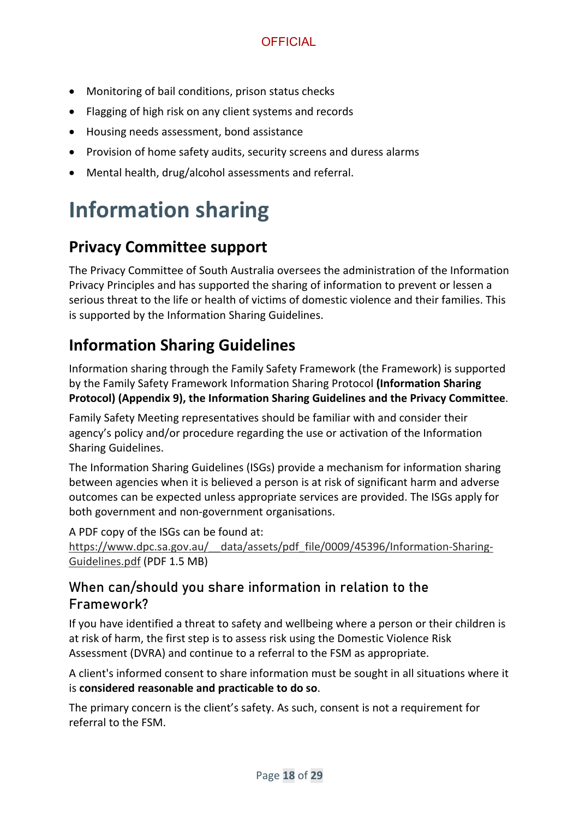- Monitoring of bail conditions, prison status checks
- Flagging of high risk on any client systems and records
- Housing needs assessment, bond assistance
- Provision of home safety audits, security screens and duress alarms
- Mental health, drug/alcohol assessments and referral.

## <span id="page-17-0"></span>**Information sharing**

## <span id="page-17-1"></span>**Privacy Committee support**

The Privacy Committee of South Australia oversees the administration of the Information Privacy Principles and has supported the sharing of information to prevent or lessen a serious threat to the life or health of victims of domestic violence and their families. This is supported by the Information Sharing Guidelines.

### <span id="page-17-2"></span>**Information Sharing Guidelines**

Information sharing through the Family Safety Framework (the Framework) is supported by the Family Safety Framework Information Sharing Protocol **(Information Sharing Protocol) (Appendix 9), the Information Sharing Guidelines and the Privacy Committee**.

Family Safety Meeting representatives should be familiar with and consider their agency's policy and/or procedure regarding the use or activation of the Information Sharing Guidelines.

The Information Sharing Guidelines (ISGs) provide a mechanism for information sharing between agencies when it is believed a person is at risk of significant harm and adverse outcomes can be expected unless appropriate services are provided. The ISGs apply for both government and non-government organisations.

A PDF copy of the ISGs can be found at: https://www.dpc.sa.gov.au/ data/assets/pdf file/0009/45396/Information-Sharing-[Guidelines.pdf](https://www.dpc.sa.gov.au/__data/assets/pdf_file/0009/45396/Information-Sharing-Guidelines.pdf) (PDF 1.5 MB)

#### When can/should you share information in relation to the Framework?

If you have identified a threat to safety and wellbeing where a person or their children is at risk of harm, the first step is to assess risk using the Domestic Violence Risk Assessment (DVRA) and continue to a referral to the FSM as appropriate.

A client's informed consent to share information must be sought in all situations where it is **considered reasonable and practicable to do so**.

The primary concern is the client's safety. As such, consent is not a requirement for referral to the FSM.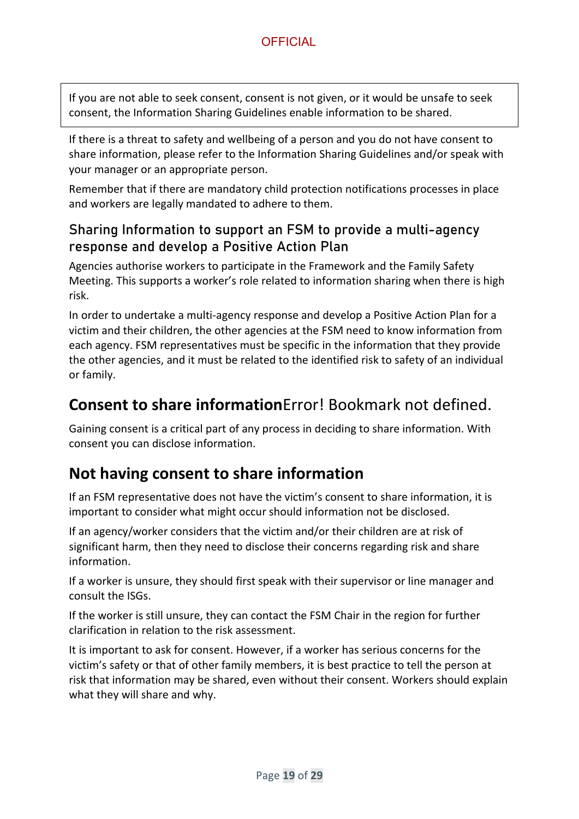If you are not able to seek consent, consent is not given, or it would be unsafe to seek consent, the Information Sharing Guidelines enable information to be shared.

If there is a threat to safety and wellbeing of a person and you do not have consent to share information, please refer to the Information Sharing Guidelines and/or speak with your manager or an appropriate person.

Remember that if there are mandatory child protection notifications processes in place and workers are legally mandated to adhere to them.

#### Sharing Information to support an FSM to provide a multi-agency response and develop a Positive Action Plan

Agencies authorise workers to participate in the Framework and the Family Safety Meeting. This supports a worker's role related to information sharing when there is high risk.

In order to undertake a multi-agency response and develop a Positive Action Plan for a victim and their children, the other agencies at the FSM need to know information from each agency. FSM representatives must be specific in the information that they provide the other agencies, and it must be related to the identified risk to safety of an individual or family.

### <span id="page-18-0"></span>**Consent to share information**Error! Bookmark not defined.

Gaining consent is a critical part of any process in deciding to share information. With consent you can disclose information.

### <span id="page-18-1"></span>**Not having consent to share information**

If an FSM representative does not have the victim's consent to share information, it is important to consider what might occur should information not be disclosed.

If an agency/worker considers that the victim and/or their children are at risk of significant harm, then they need to disclose their concerns regarding risk and share information.

If a worker is unsure, they should first speak with their supervisor or line manager and consult the ISGs.

If the worker is still unsure, they can contact the FSM Chair in the region for further clarification in relation to the risk assessment.

It is important to ask for consent. However, if a worker has serious concerns for the victim's safety or that of other family members, it is best practice to tell the person at risk that information may be shared, even without their consent. Workers should explain what they will share and why.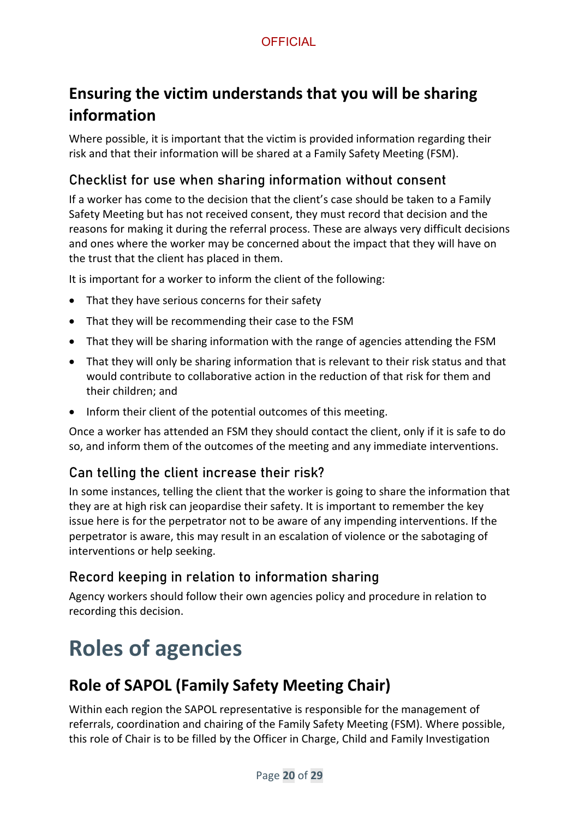## <span id="page-19-0"></span>**Ensuring the victim understands that you will be sharing information**

Where possible, it is important that the victim is provided information regarding their risk and that their information will be shared at a Family Safety Meeting (FSM).

#### Checklist for use when sharing information without consent

If a worker has come to the decision that the client's case should be taken to a Family Safety Meeting but has not received consent, they must record that decision and the reasons for making it during the referral process. These are always very difficult decisions and ones where the worker may be concerned about the impact that they will have on the trust that the client has placed in them.

It is important for a worker to inform the client of the following:

- That they have serious concerns for their safety
- That they will be recommending their case to the FSM
- That they will be sharing information with the range of agencies attending the FSM
- That they will only be sharing information that is relevant to their risk status and that would contribute to collaborative action in the reduction of that risk for them and their children; and
- Inform their client of the potential outcomes of this meeting.

Once a worker has attended an FSM they should contact the client, only if it is safe to do so, and inform them of the outcomes of the meeting and any immediate interventions.

#### Can telling the client increase their risk?

In some instances, telling the client that the worker is going to share the information that they are at high risk can jeopardise their safety. It is important to remember the key issue here is for the perpetrator not to be aware of any impending interventions. If the perpetrator is aware, this may result in an escalation of violence or the sabotaging of interventions or help seeking.

#### Record keeping in relation to information sharing

Agency workers should follow their own agencies policy and procedure in relation to recording this decision.

## <span id="page-19-1"></span>**Roles of agencies**

## <span id="page-19-2"></span>**Role of SAPOL (Family Safety Meeting Chair)**

Within each region the SAPOL representative is responsible for the management of referrals, coordination and chairing of the Family Safety Meeting (FSM). Where possible, this role of Chair is to be filled by the Officer in Charge, Child and Family Investigation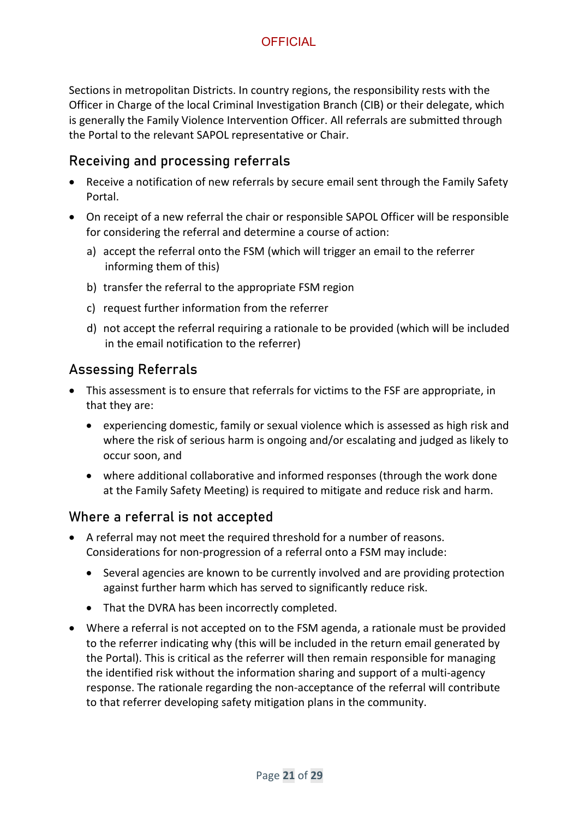Sections in metropolitan Districts. In country regions, the responsibility rests with the Officer in Charge of the local Criminal Investigation Branch (CIB) or their delegate, which is generally the Family Violence Intervention Officer. All referrals are submitted through the Portal to the relevant SAPOL representative or Chair.

#### Receiving and processing referrals

- Receive a notification of new referrals by secure email sent through the Family Safety Portal.
- On receipt of a new referral the chair or responsible SAPOL Officer will be responsible for considering the referral and determine a course of action:
	- a) accept the referral onto the FSM (which will trigger an email to the referrer informing them of this)
	- b) transfer the referral to the appropriate FSM region
	- c) request further information from the referrer
	- d) not accept the referral requiring a rationale to be provided (which will be included in the email notification to the referrer)

#### Assessing Referrals

- This assessment is to ensure that referrals for victims to the FSF are appropriate, in that they are:
	- experiencing domestic, family or sexual violence which is assessed as high risk and where the risk of serious harm is ongoing and/or escalating and judged as likely to occur soon, and
	- where additional collaborative and informed responses (through the work done at the Family Safety Meeting) is required to mitigate and reduce risk and harm.

#### Where a referral is not accepted

- A referral may not meet the required threshold for a number of reasons. Considerations for non-progression of a referral onto a FSM may include:
	- Several agencies are known to be currently involved and are providing protection against further harm which has served to significantly reduce risk.
	- That the DVRA has been incorrectly completed.
- Where a referral is not accepted on to the FSM agenda, a rationale must be provided to the referrer indicating why (this will be included in the return email generated by the Portal). This is critical as the referrer will then remain responsible for managing the identified risk without the information sharing and support of a multi-agency response. The rationale regarding the non-acceptance of the referral will contribute to that referrer developing safety mitigation plans in the community.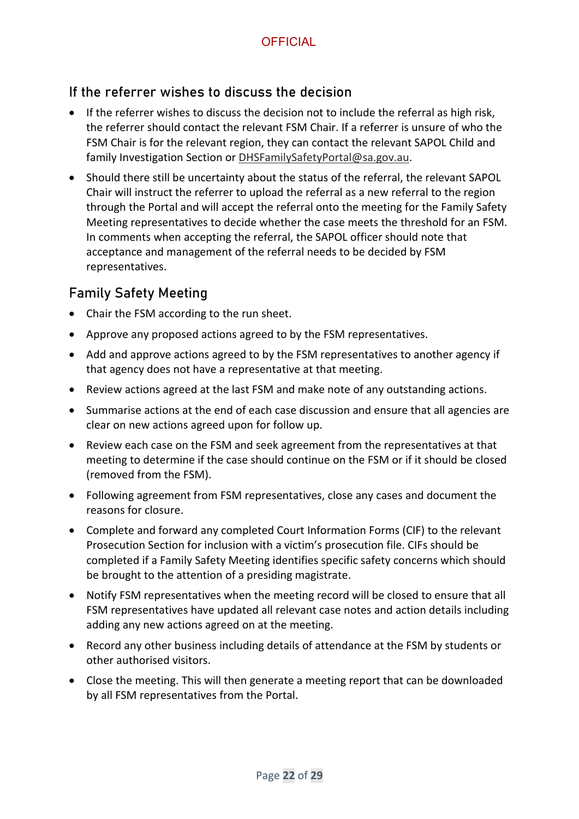#### If the referrer wishes to discuss the decision

- If the referrer wishes to discuss the decision not to include the referral as high risk, the referrer should contact the relevant FSM Chair. If a referrer is unsure of who the FSM Chair is for the relevant region, they can contact the relevant [SAPOL Child and](mailto:SAPOL%20Child%20and%20family%20Investigation%20Section)  [family Investigation Section o](mailto:SAPOL%20Child%20and%20family%20Investigation%20Section)r [DHSFamilySafetyPortal@sa.gov.au.](mailto:DHSFamilySafetyPortal@sa.gov.au)
- Should there still be uncertainty about the status of the referral, the relevant SAPOL Chair will instruct the referrer to upload the referral as a new referral to the region through the Portal and will accept the referral onto the meeting for the Family Safety Meeting representatives to decide whether the case meets the threshold for an FSM. In comments when accepting the referral, the SAPOL officer should note that acceptance and management of the referral needs to be decided by FSM representatives.

#### Family Safety Meeting

- Chair the FSM according to the run sheet.
- Approve any proposed actions agreed to by the FSM representatives.
- Add and approve actions agreed to by the FSM representatives to another agency if that agency does not have a representative at that meeting.
- Review actions agreed at the last FSM and make note of any outstanding actions.
- Summarise actions at the end of each case discussion and ensure that all agencies are clear on new actions agreed upon for follow up.
- Review each case on the FSM and seek agreement from the representatives at that meeting to determine if the case should continue on the FSM or if it should be closed (removed from the FSM).
- Following agreement from FSM representatives, close any cases and document the reasons for closure.
- Complete and forward any completed Court Information Forms (CIF) to the relevant Prosecution Section for inclusion with a victim's prosecution file. CIFs should be completed if a Family Safety Meeting identifies specific safety concerns which should be brought to the attention of a presiding magistrate.
- Notify FSM representatives when the meeting record will be closed to ensure that all FSM representatives have updated all relevant case notes and action details including adding any new actions agreed on at the meeting.
- Record any other business including details of attendance at the FSM by students or other authorised visitors.
- Close the meeting. This will then generate a meeting report that can be downloaded by all FSM representatives from the Portal.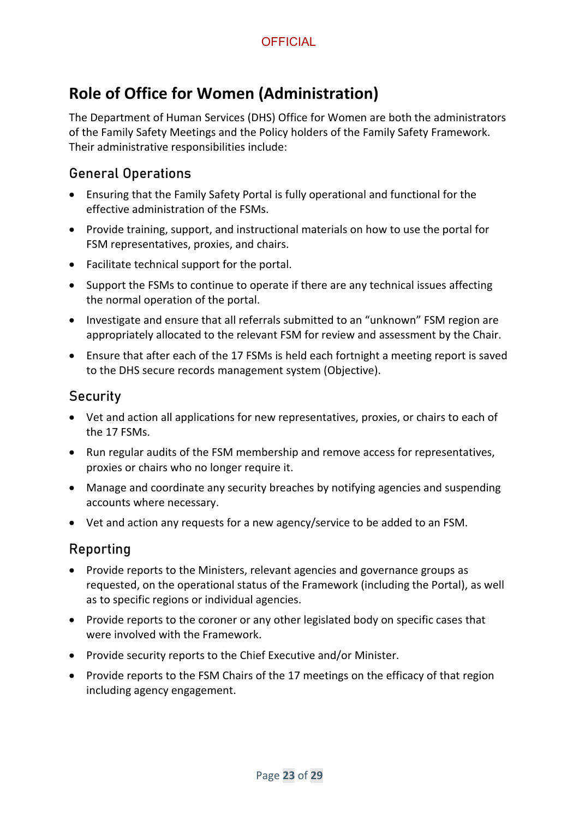## <span id="page-22-0"></span>**Role of Office for Women (Administration)**

The Department of Human Services (DHS) Office for Women are both the administrators of the Family Safety Meetings and the Policy holders of the Family Safety Framework. Their administrative responsibilities include:

#### General Operations

- Ensuring that the Family Safety Portal is fully operational and functional for the effective administration of the FSMs.
- Provide training, support, and instructional materials on how to use the portal for FSM representatives, proxies, and chairs.
- Facilitate technical support for the portal.
- Support the FSMs to continue to operate if there are any technical issues affecting the normal operation of the portal.
- Investigate and ensure that all referrals submitted to an "unknown" FSM region are appropriately allocated to the relevant FSM for review and assessment by the Chair.
- Ensure that after each of the 17 FSMs is held each fortnight a meeting report is saved to the DHS secure records management system (Objective).

#### **Security**

- Vet and action all applications for new representatives, proxies, or chairs to each of the 17 FSMs.
- Run regular audits of the FSM membership and remove access for representatives, proxies or chairs who no longer require it.
- Manage and coordinate any security breaches by notifying agencies and suspending accounts where necessary.
- Vet and action any requests for a new agency/service to be added to an FSM.

#### Reporting

- Provide reports to the Ministers, relevant agencies and governance groups as requested, on the operational status of the Framework (including the Portal), as well as to specific regions or individual agencies.
- Provide reports to the coroner or any other legislated body on specific cases that were involved with the Framework.
- Provide security reports to the Chief Executive and/or Minister.
- Provide reports to the FSM Chairs of the 17 meetings on the efficacy of that region including agency engagement.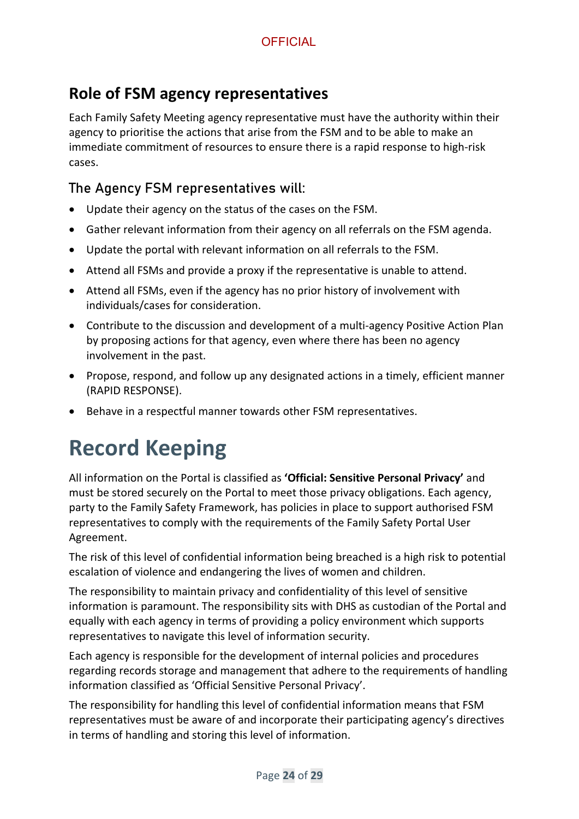### <span id="page-23-0"></span>**Role of FSM agency representatives**

Each Family Safety Meeting agency representative must have the authority within their agency to prioritise the actions that arise from the FSM and to be able to make an immediate commitment of resources to ensure there is a rapid response to high-risk cases.

#### The Agency FSM representatives will:

- Update their agency on the status of the cases on the FSM.
- Gather relevant information from their agency on all referrals on the FSM agenda.
- Update the portal with relevant information on all referrals to the FSM.
- Attend all FSMs and provide a proxy if the representative is unable to attend.
- Attend all FSMs, even if the agency has no prior history of involvement with individuals/cases for consideration.
- Contribute to the discussion and development of a multi-agency Positive Action Plan by proposing actions for that agency, even where there has been no agency involvement in the past.
- Propose, respond, and follow up any designated actions in a timely, efficient manner (RAPID RESPONSE).
- Behave in a respectful manner towards other FSM representatives.

## <span id="page-23-1"></span>**Record Keeping**

All information on the Portal is classified as **'Official: Sensitive Personal Privacy'** and must be stored securely on the Portal to meet those privacy obligations. Each agency, party to the Family Safety Framework, has policies in place to support authorised FSM representatives to comply with the requirements of the Family Safety Portal User Agreement.

The risk of this level of confidential information being breached is a high risk to potential escalation of violence and endangering the lives of women and children.

The responsibility to maintain privacy and confidentiality of this level of sensitive information is paramount. The responsibility sits with DHS as custodian of the Portal and equally with each agency in terms of providing a policy environment which supports representatives to navigate this level of information security.

Each agency is responsible for the development of internal policies and procedures regarding records storage and management that adhere to the requirements of handling information classified as 'Official Sensitive Personal Privacy'.

The responsibility for handling this level of confidential information means that FSM representatives must be aware of and incorporate their participating agency's directives in terms of handling and storing this level of information.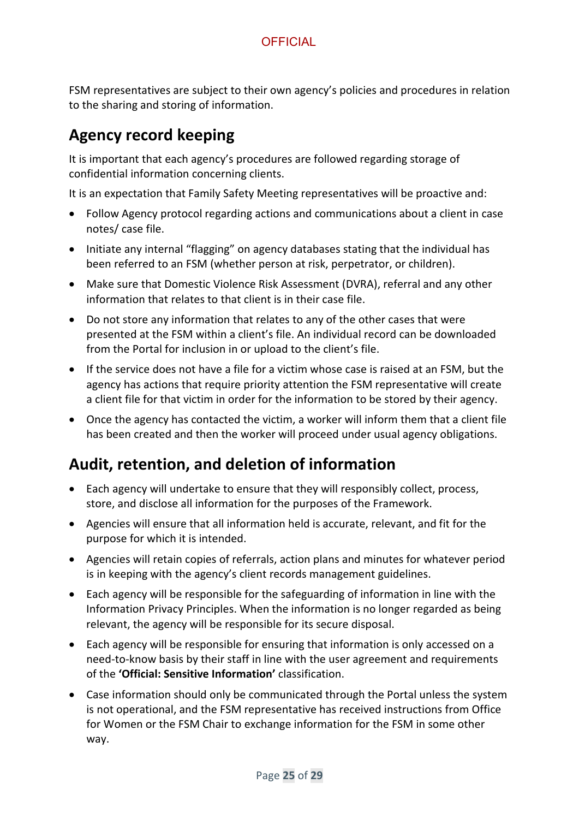FSM representatives are subject to their own agency's policies and procedures in relation to the sharing and storing of information.

### <span id="page-24-0"></span>**Agency record keeping**

It is important that each agency's procedures are followed regarding storage of confidential information concerning clients.

It is an expectation that Family Safety Meeting representatives will be proactive and:

- Follow Agency protocol regarding actions and communications about a client in case notes/ case file.
- Initiate any internal "flagging" on agency databases stating that the individual has been referred to an FSM (whether person at risk, perpetrator, or children).
- Make sure that Domestic Violence Risk Assessment (DVRA), referral and any other information that relates to that client is in their case file.
- Do not store any information that relates to any of the other cases that were presented at the FSM within a client's file. An individual record can be downloaded from the Portal for inclusion in or upload to the client's file.
- If the service does not have a file for a victim whose case is raised at an FSM, but the agency has actions that require priority attention the FSM representative will create a client file for that victim in order for the information to be stored by their agency.
- Once the agency has contacted the victim, a worker will inform them that a client file has been created and then the worker will proceed under usual agency obligations.

## <span id="page-24-1"></span>**Audit, retention, and deletion of information**

- Each agency will undertake to ensure that they will responsibly collect, process, store, and disclose all information for the purposes of the Framework.
- Agencies will ensure that all information held is accurate, relevant, and fit for the purpose for which it is intended.
- Agencies will retain copies of referrals, action plans and minutes for whatever period is in keeping with the agency's client records management guidelines.
- Each agency will be responsible for the safeguarding of information in line with the Information Privacy Principles. When the information is no longer regarded as being relevant, the agency will be responsible for its secure disposal.
- Each agency will be responsible for ensuring that information is only accessed on a need-to-know basis by their staff in line with the user agreement and requirements of the **'Official: Sensitive Information'** classification.
- Case information should only be communicated through the Portal unless the system is not operational, and the FSM representative has received instructions from Office for Women or the FSM Chair to exchange information for the FSM in some other way.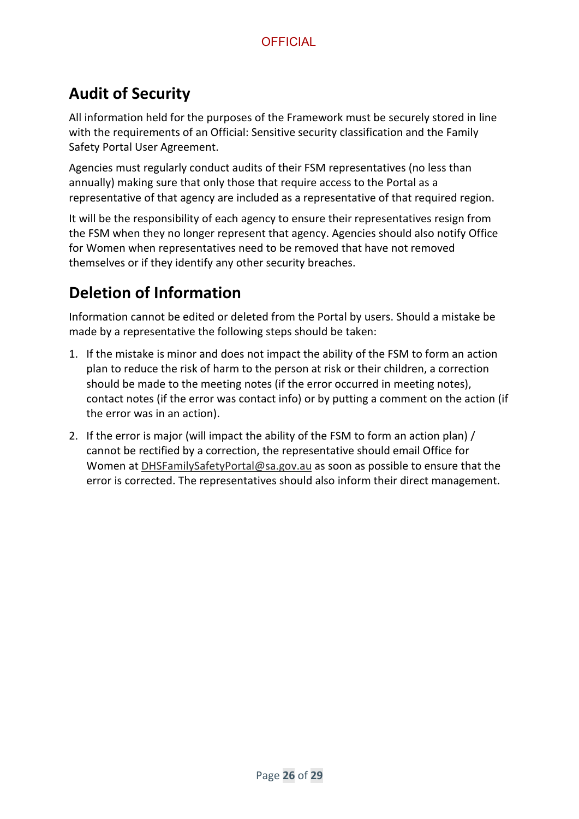## <span id="page-25-0"></span>**Audit of Security**

All information held for the purposes of the Framework must be securely stored in line with the requirements of an Official: Sensitive security classification and the Family Safety Portal User Agreement.

Agencies must regularly conduct audits of their FSM representatives (no less than annually) making sure that only those that require access to the Portal as a representative of that agency are included as a representative of that required region.

It will be the responsibility of each agency to ensure their representatives resign from the FSM when they no longer represent that agency. Agencies should also notify Office for Women when representatives need to be removed that have not removed themselves or if they identify any other security breaches.

## <span id="page-25-1"></span>**Deletion of Information**

Information cannot be edited or deleted from the Portal by users. Should a mistake be made by a representative the following steps should be taken:

- 1. If the mistake is minor and does not impact the ability of the FSM to form an action plan to reduce the risk of harm to the person at risk or their children, a correction should be made to the meeting notes (if the error occurred in meeting notes), contact notes (if the error was contact info) or by putting a comment on the action (if the error was in an action).
- 2. If the error is major (will impact the ability of the FSM to form an action plan) / cannot be rectified by a correction, the representative should email Office for Women at [DHSFamilySafetyPortal@sa.gov.au](mailto:DHSFamilySafetyPortal@sa.gov.au) as soon as possible to ensure that the error is corrected. The representatives should also inform their direct management.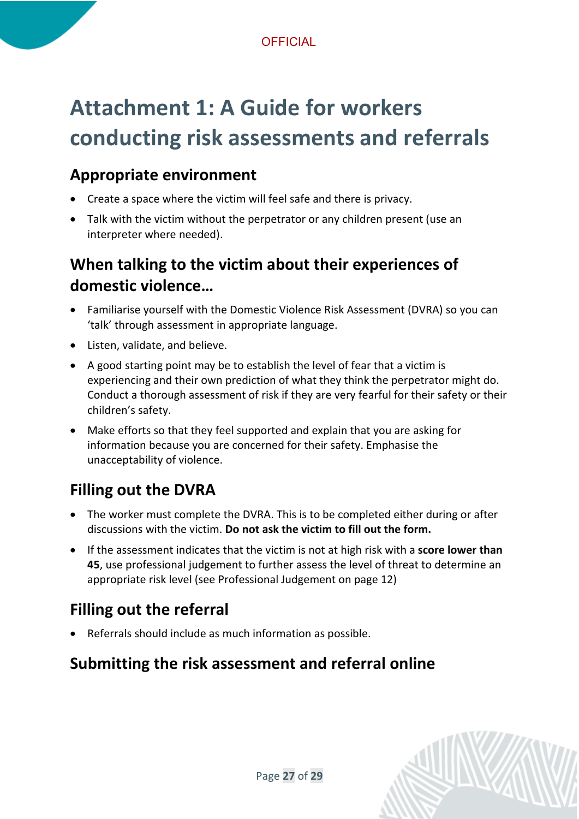## <span id="page-26-0"></span>**Attachment 1: A Guide for workers conducting risk assessments and referrals**

### <span id="page-26-1"></span>**Appropriate environment**

- Create a space where the victim will feel safe and there is privacy.
- Talk with the victim without the perpetrator or any children present (use an interpreter where needed).

## <span id="page-26-2"></span>**When talking to the victim about their experiences of domestic violence…**

- Familiarise yourself with the Domestic Violence Risk Assessment (DVRA) so you can 'talk' through assessment in appropriate language.
- Listen, validate, and believe.
- A good starting point may be to establish the level of fear that a victim is experiencing and their own prediction of what they think the perpetrator might do. Conduct a thorough assessment of risk if they are very fearful for their safety or their children's safety.
- Make efforts so that they feel supported and explain that you are asking for information because you are concerned for their safety. Emphasise the unacceptability of violence.

## <span id="page-26-3"></span>**Filling out the DVRA**

- The worker must complete the DVRA. This is to be completed either during or after discussions with the victim. **Do not ask the victim to fill out the form.**
- If the assessment indicates that the victim is not at high risk with a **score lower than 45**, use professional judgement to further assess the level of threat to determine an appropriate risk level (see [Professional Judgement](#page-11-0) on page [12\)](#page-11-0)

## <span id="page-26-4"></span>**Filling out the referral**

• Referrals should include as much information as possible.

## <span id="page-26-5"></span>**Submitting the risk assessment and referral online**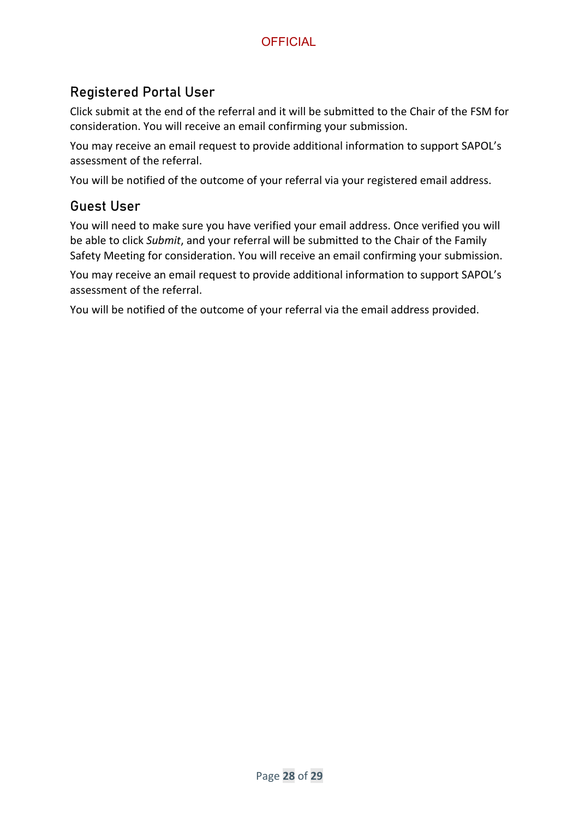#### Registered Portal User

Click submit at the end of the referral and it will be submitted to the Chair of the FSM for consideration. You will receive an email confirming your submission.

You may receive an email request to provide additional information to support SAPOL's assessment of the referral.

You will be notified of the outcome of your referral via your registered email address.

#### Guest User

You will need to make sure you have verified your email address. Once verified you will be able to click *Submit*, and your referral will be submitted to the Chair of the Family Safety Meeting for consideration. You will receive an email confirming your submission.

You may receive an email request to provide additional information to support SAPOL's assessment of the referral.

You will be notified of the outcome of your referral via the email address provided.